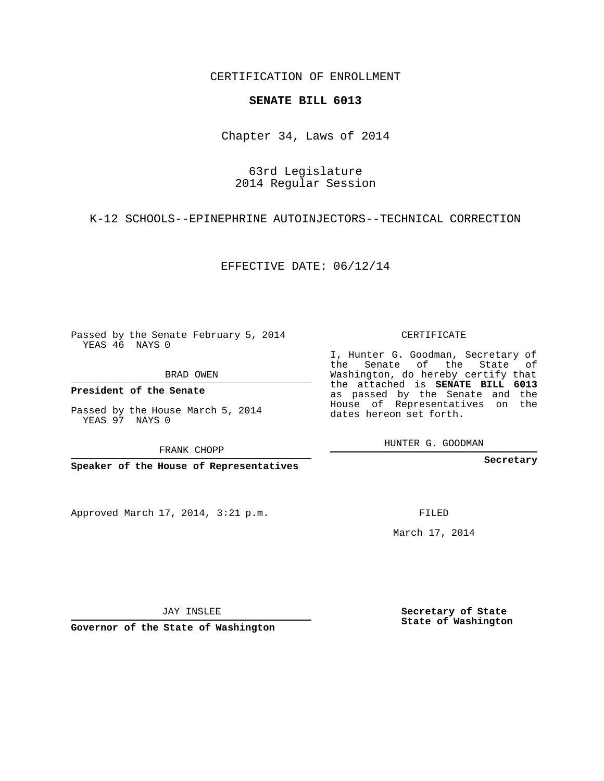CERTIFICATION OF ENROLLMENT

## **SENATE BILL 6013**

Chapter 34, Laws of 2014

## 63rd Legislature 2014 Regular Session

K-12 SCHOOLS--EPINEPHRINE AUTOINJECTORS--TECHNICAL CORRECTION

EFFECTIVE DATE: 06/12/14

Passed by the Senate February 5, 2014 YEAS 46 NAYS 0

BRAD OWEN

**President of the Senate**

Passed by the House March 5, 2014 YEAS 97 NAYS 0

FRANK CHOPP

**Speaker of the House of Representatives**

Approved March 17, 2014, 3:21 p.m.

CERTIFICATE

I, Hunter G. Goodman, Secretary of the Senate of the State of Washington, do hereby certify that the attached is **SENATE BILL 6013** as passed by the Senate and the House of Representatives on the dates hereon set forth.

HUNTER G. GOODMAN

**Secretary**

FILED

March 17, 2014

**Secretary of State State of Washington**

JAY INSLEE

**Governor of the State of Washington**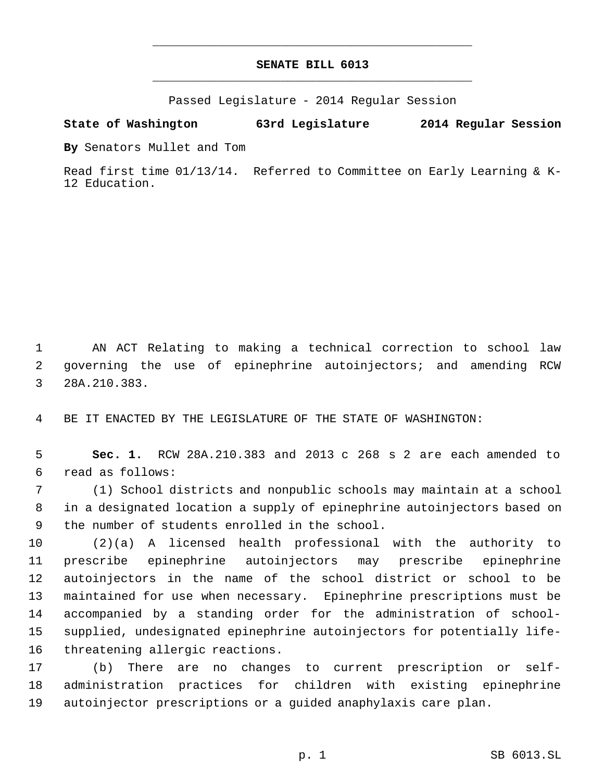## **SENATE BILL 6013** \_\_\_\_\_\_\_\_\_\_\_\_\_\_\_\_\_\_\_\_\_\_\_\_\_\_\_\_\_\_\_\_\_\_\_\_\_\_\_\_\_\_\_\_\_

\_\_\_\_\_\_\_\_\_\_\_\_\_\_\_\_\_\_\_\_\_\_\_\_\_\_\_\_\_\_\_\_\_\_\_\_\_\_\_\_\_\_\_\_\_

Passed Legislature - 2014 Regular Session

## **State of Washington 63rd Legislature 2014 Regular Session**

**By** Senators Mullet and Tom

Read first time 01/13/14. Referred to Committee on Early Learning & K-12 Education.

 AN ACT Relating to making a technical correction to school law governing the use of epinephrine autoinjectors; and amending RCW 28A.210.383.

BE IT ENACTED BY THE LEGISLATURE OF THE STATE OF WASHINGTON:

 **Sec. 1.** RCW 28A.210.383 and 2013 c 268 s 2 are each amended to read as follows:

 (1) School districts and nonpublic schools may maintain at a school in a designated location a supply of epinephrine autoinjectors based on the number of students enrolled in the school.

 (2)(a) A licensed health professional with the authority to prescribe epinephrine autoinjectors may prescribe epinephrine autoinjectors in the name of the school district or school to be maintained for use when necessary. Epinephrine prescriptions must be accompanied by a standing order for the administration of school- supplied, undesignated epinephrine autoinjectors for potentially life-threatening allergic reactions.

 (b) There are no changes to current prescription or self- administration practices for children with existing epinephrine autoinjector prescriptions or a guided anaphylaxis care plan.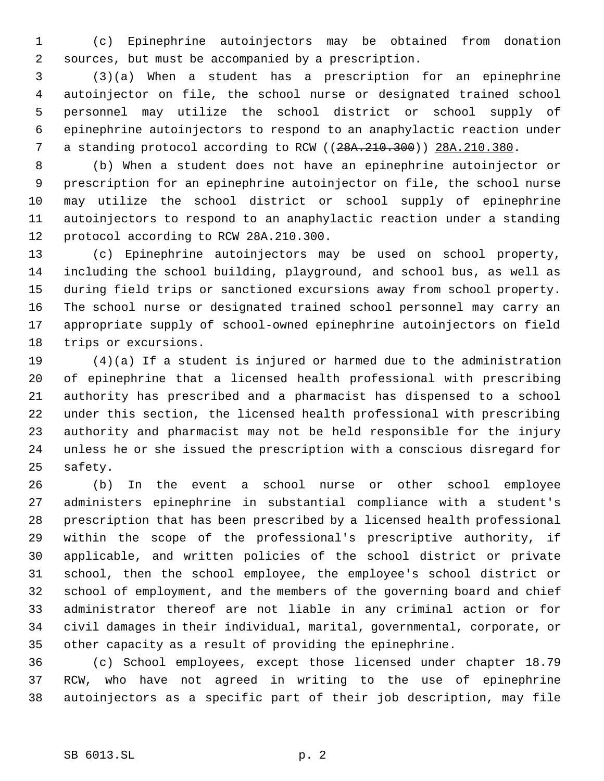(c) Epinephrine autoinjectors may be obtained from donation sources, but must be accompanied by a prescription.

 (3)(a) When a student has a prescription for an epinephrine autoinjector on file, the school nurse or designated trained school personnel may utilize the school district or school supply of epinephrine autoinjectors to respond to an anaphylactic reaction under 7 a standing protocol according to RCW ((28A.210.300)) 28A.210.380.

 (b) When a student does not have an epinephrine autoinjector or prescription for an epinephrine autoinjector on file, the school nurse may utilize the school district or school supply of epinephrine autoinjectors to respond to an anaphylactic reaction under a standing protocol according to RCW 28A.210.300.

 (c) Epinephrine autoinjectors may be used on school property, including the school building, playground, and school bus, as well as during field trips or sanctioned excursions away from school property. The school nurse or designated trained school personnel may carry an appropriate supply of school-owned epinephrine autoinjectors on field trips or excursions.

 (4)(a) If a student is injured or harmed due to the administration of epinephrine that a licensed health professional with prescribing authority has prescribed and a pharmacist has dispensed to a school under this section, the licensed health professional with prescribing authority and pharmacist may not be held responsible for the injury unless he or she issued the prescription with a conscious disregard for safety.

 (b) In the event a school nurse or other school employee administers epinephrine in substantial compliance with a student's prescription that has been prescribed by a licensed health professional within the scope of the professional's prescriptive authority, if applicable, and written policies of the school district or private school, then the school employee, the employee's school district or school of employment, and the members of the governing board and chief administrator thereof are not liable in any criminal action or for civil damages in their individual, marital, governmental, corporate, or other capacity as a result of providing the epinephrine.

 (c) School employees, except those licensed under chapter 18.79 RCW, who have not agreed in writing to the use of epinephrine autoinjectors as a specific part of their job description, may file